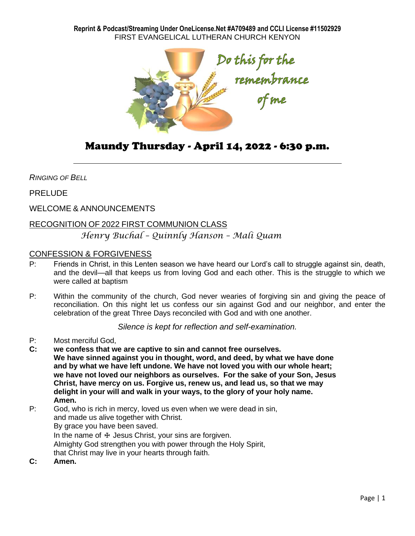**Reprint & Podcast/Streaming Under OneLicense.Net #A709489 and CCLI License #11502929** FIRST EVANGELICAL LUTHERAN CHURCH KENYON



# Maundy Thursday - April 14, 2022 - 6:30 p.m.

*RINGING OF BELL*

PRELUDE

WELCOME & ANNOUNCEMENTS

## RECOGNITION OF 2022 FIRST COMMUNION CLASS

## *Henry Buchal – Quinnly Hanson – Mali Quam*

## CONFESSION & FORGIVENESS

- P: Friends in Christ, in this Lenten season we have heard our Lord's call to struggle against sin, death, and the devil—all that keeps us from loving God and each other. This is the struggle to which we were called at baptism
- P: Within the community of the church, God never wearies of forgiving sin and giving the peace of reconciliation. On this night let us confess our sin against God and our neighbor, and enter the celebration of the great Three Days reconciled with God and with one another.

*Silence is kept for reflection and self-examination.*

- P: Most merciful God,
- **C: we confess that we are captive to sin and cannot free ourselves. We have sinned against you in thought, word, and deed, by what we have done and by what we have left undone. We have not loved you with our whole heart; we have not loved our neighbors as ourselves. For the sake of your Son, Jesus Christ, have mercy on us. Forgive us, renew us, and lead us, so that we may delight in your will and walk in your ways, to the glory of your holy name. Amen.**

P: God, who is rich in mercy, loved us even when we were dead in sin, and made us alive together with Christ. By grace you have been saved. In the name of  $+$  Jesus Christ, your sins are forgiven. Almighty God strengthen you with power through the Holy Spirit, that Christ may live in your hearts through faith.

**C: Amen.**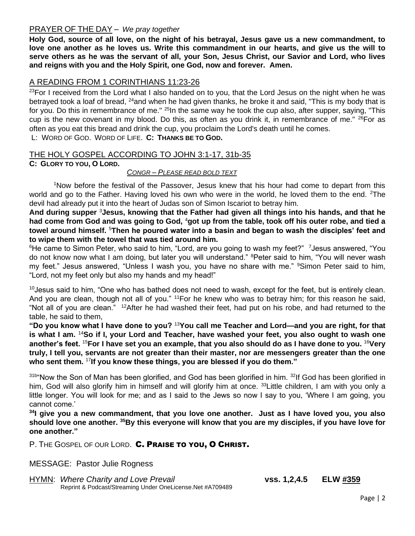## PRAYER OF THE DAY – *We pray together*

**Holy God, source of all love, on the night of his betrayal, Jesus gave us a new commandment, to love one another as he loves us. Write this commandment in our hearts, and give us the will to serve others as he was the servant of all, your Son, Jesus Christ, our Savior and Lord, who lives and reigns with you and the Holy Spirit, one God, now and forever. Amen.**

## A READING FROM 1 CORINTHIANS 11:23-26

<sup>23</sup>For I received from the Lord what I also handed on to you, that the Lord Jesus on the night when he was betrayed took a loaf of bread, <sup>24</sup>and when he had given thanks, he broke it and said, "This is my body that is for you. Do this in remembrance of me." <sup>25</sup>In the same way he took the cup also, after supper, saying, "This cup is the new covenant in my blood. Do this, as often as you drink it, in remembrance of me." <sup>26</sup>For as often as you eat this bread and drink the cup, you proclaim the Lord's death until he comes.

L: WORD OF GOD. WORD OF LIFE. **C: THANKS BE TO GOD.**

## THE HOLY GOSPEL ACCORDING TO JOHN 3:1-17, 31b-35

**C: GLORY TO YOU, O LORD.**

#### *CONGR – PLEASE READ BOLD TEXT*

<sup>1</sup>Now before the festival of the Passover, Jesus knew that his hour had come to depart from this world and go to the Father. Having loved his own who were in the world, he loved them to the end. <sup>2</sup>The devil had already put it into the heart of Judas son of Simon Iscariot to betray him.

**And during supper** <sup>3</sup>**Jesus, knowing that the Father had given all things into his hands, and that he had come from God and was going to God,** <sup>4</sup>**got up from the table, took off his outer robe, and tied a towel around himself.** <sup>5</sup>**Then he poured water into a basin and began to wash the disciples' feet and to wipe them with the towel that was tied around him.**

<sup>6</sup>He came to Simon Peter, who said to him, "Lord, are you going to wash my feet?" <sup>7</sup>Jesus answered. "You do not know now what I am doing, but later you will understand." <sup>8</sup>Peter said to him, "You will never wash my feet." Jesus answered, "Unless I wash you, you have no share with me." <sup>9</sup>Simon Peter said to him, "Lord, not my feet only but also my hands and my head!"

<sup>10</sup> Jesus said to him, "One who has bathed does not need to wash, except for the feet, but is entirely clean. And you are clean, though not all of you." <sup>11</sup>For he knew who was to betray him; for this reason he said. "Not all of you are clean." <sup>12</sup>After he had washed their feet, had put on his robe, and had returned to the table, he said to them,

**"Do you know what I have done to you?** <sup>13</sup>**You call me Teacher and Lord—and you are right, for that is what I am.** <sup>14</sup>**So if I, your Lord and Teacher, have washed your feet, you also ought to wash one another's feet.** <sup>15</sup>**For I have set you an example, that you also should do as I have done to you.** <sup>16</sup>**Very truly, I tell you, servants are not greater than their master, nor are messengers greater than the one who sent them.** <sup>17</sup>**If you know these things, you are blessed if you do them."**

31b"Now the Son of Man has been glorified, and God has been glorified in him. <sup>32</sup>If God has been glorified in him, God will also glorify him in himself and will glorify him at once. <sup>33</sup> Little children, I am with you only a little longer. You will look for me; and as I said to the Jews so now I say to you, 'Where I am going, you cannot come.'

**<sup>34</sup>I give you a new commandment, that you love one another. Just as I have loved you, you also should love one another. <sup>35</sup>By this everyone will know that you are my disciples, if you have love for one another."**

P. THE GOSPEL OF OUR LORD. C. PRAISE TO YOU, O CHRIST.

MESSAGE: Pastor Julie Rogness

HYMN: *Where Charity and Love Prevail* **vss. 1,2,4.5 ELW #359** Reprint & Podcast/Streaming Under OneLicense.Net #A709489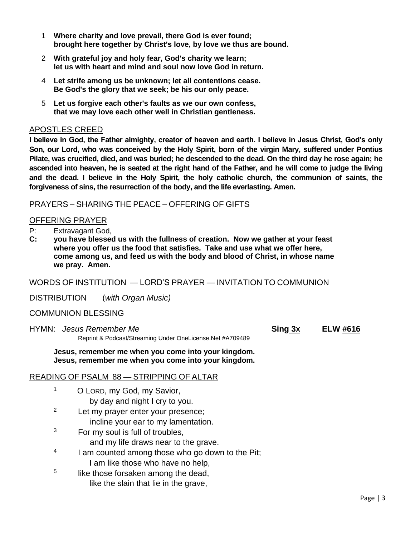- 1 **Where charity and love prevail, there God is ever found; brought here together by Christ's love, by love we thus are bound.**
- 2 **With grateful joy and holy fear, God's charity we learn; let us with heart and mind and soul now love God in return.**
- 4 **Let strife among us be unknown; let all contentions cease. Be God's the glory that we seek; be his our only peace.**
- 5 **Let us forgive each other's faults as we our own confess, that we may love each other well in Christian gentleness.**

## APOSTLES CREED

**I believe in God, the Father almighty, creator of heaven and earth. I believe in Jesus Christ, God's only Son, our Lord, who was conceived by the Holy Spirit, born of the virgin Mary, suffered under Pontius Pilate, was crucified, died, and was buried; he descended to the dead. On the third day he rose again; he ascended into heaven, he is seated at the right hand of the Father, and he will come to judge the living and the dead. I believe in the Holy Spirit, the holy catholic church, the communion of saints, the forgiveness of sins, the resurrection of the body, and the life everlasting. Amen.**

## PRAYERS – SHARING THE PEACE – OFFERING OF GIFTS

## OFFERING PRAYER

- P: Extravagant God,
- **C: you have blessed us with the fullness of creation. Now we gather at your feast where you offer us the food that satisfies. Take and use what we offer here, come among us, and feed us with the body and blood of Christ, in whose name we pray. Amen.**

WORDS OF INSTITUTION — LORD'S PRAYER — INVITATION TO COMMUNION

DISTRIBUTION (*with Organ Music)*

### COMMUNION BLESSING

1

HYMN: *Jesus Remember Me* **Sing 3X ELW #616** Reprint & Podcast/Streaming Under OneLicense.Net #A709489

**Jesus, remember me when you come into your kingdom. Jesus, remember me when you come into your kingdom.**

### READING OF PSALM 88 — STRIPPING OF ALTAR

- O LORD, my God, my Savior,
	- by day and night I cry to you.

<sup>2</sup> Let my prayer enter your presence;

- incline your ear to my lamentation.
- $3$  For my soul is full of troubles, and my life draws near to the grave.
- 4 I am counted among those who go down to the Pit; I am like those who have no help,
- 5 like those forsaken among the dead, like the slain that lie in the grave,